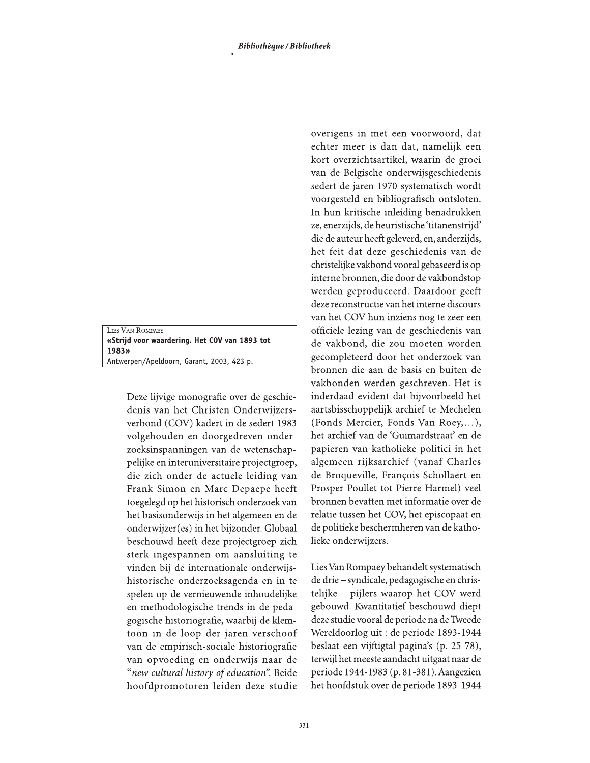LIES VAN ROMPAEY «Strijd voor waardering. Het COV van 1893 tot 1983» Antwerpen/Apeldoorn, Garant, 2003, 423 p.

> Deze lijvige monografie over de geschiedenis van het Christen Onderwijzersverbond (COV) kadert in de sedert 1983 volgehouden en doorgedreven onderzoeksinspanningen van de wetenschappelijke en interuniversitaire projectgroep, die zich onder de actuele leiding van Frank Simon en Marc Depaepe heeft toegelegd op het historisch onderzoek van het basisonderwijs in het algemeen en de onderwijzer(es) in het bijzonder. Globaal beschouwd heeft deze projectgroep zich sterk ingespannen om aansluiting te vinden bij de internationale onderwijshistorische onderzoeksagenda en in te spelen op de vernieuwende inhoudelijke en methodologische trends in de pedagogische historiografie, waarbij de klemtoon in de loop der jaren verschoof van de empirisch-sociale historiografie van opvoeding en onderwijs naar de "new cultural history of education". Beide hoofdpromotoren leiden deze studie

overigens in met een voorwoord, dat echter meer is dan dat, namelijk een kort overzichtsartikel, waarin de groei van de Belgische onderwijsgeschiedenis sedert de jaren 1970 systematisch wordt voorgesteld en bibliografisch ontsloten. In hun kritische inleiding benadrukken ze, enerzijds, de heuristische 'titanenstrijd' die de auteur heeft geleverd, en, anderzijds, het feit dat deze geschiedenis van de christelijke vakbond vooral gebaseerd is op interne bronnen, die door de vakbondstop werden geproduceerd. Daardoor geeft deze reconstructie van het interne discours van het COV hun inziens nog te zeer een officiële lezing van de geschiedenis van de vakbond, die zou moeten worden gecompleteerd door het onderzoek van bronnen die aan de basis en buiten de vakbonden werden geschreven. Het is inderdaad evident dat bijvoorbeeld het aartsbisschoppelijk archief te Mechelen (Fonds Mercier, Fonds Van Roey,...), het archief van de 'Guimardstraat' en de papieren van katholieke politici in het algemeen rijksarchief (vanaf Charles de Broqueville, François Schollaert en Prosper Poullet tot Pierre Harmel) veel bronnen bevatten met informatie over de relatie tussen het COV, het episcopaat en de politieke beschermheren van de katholieke onderwijzers.

Lies Van Rompaey behandelt systematisch de drie – syndicale, pedagogische en christelijke - pijlers waarop het COV werd gebouwd. Kwantitatief beschouwd diept deze studie vooral de periode na de Tweede Wereldoorlog uit: de periode 1893-1944 beslaat een vijftigtal pagina's (p. 25-78), terwijl het meeste aandacht uitgaat naar de periode 1944-1983 (p. 81-381). Aangezien het hoofdstuk over de periode 1893-1944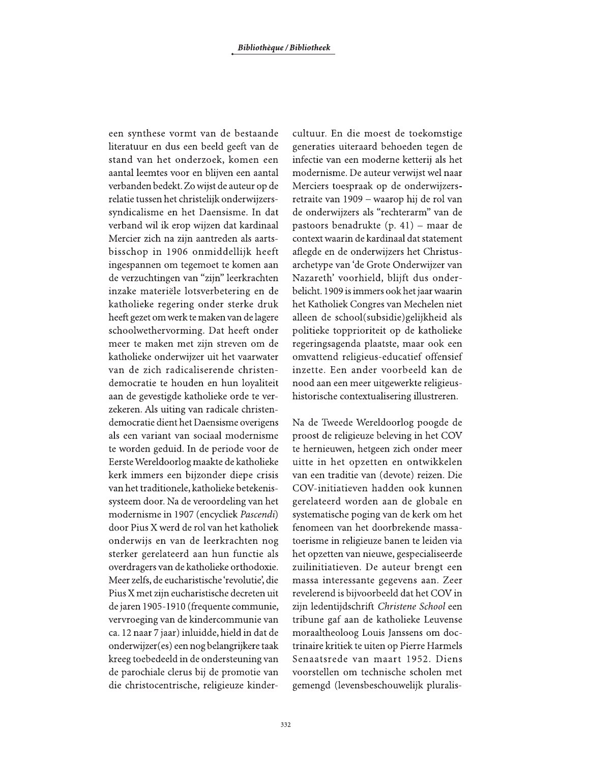een synthese vormt van de bestaande literatuur en dus een beeld geeft van de stand van het onderzoek, komen een aantal leemtes voor en blijven een aantal verbanden bedekt. Zo wijst de auteur op de relatie tussen het christelijk onderwijzerssyndicalisme en het Daensisme. In dat verband wil ik erop wijzen dat kardinaal Mercier zich na zijn aantreden als aartsbisschop in 1906 onmiddellijk heeft ingespannen om tegemoet te komen aan de verzuchtingen van "zijn" leerkrachten inzake materiële lotsverbetering en de katholieke regering onder sterke druk heeft gezet om werk te maken van de lagere schoolwethervorming. Dat heeft onder meer te maken met zijn streven om de katholieke onderwijzer uit het vaarwater van de zich radicaliserende christendemocratie te houden en hun loyaliteit aan de gevestigde katholieke orde te verzekeren. Als uiting van radicale christendemocratie dient het Daensisme overigens als een variant van sociaal modernisme te worden geduid. In de periode voor de Eerste Wereldoorlog maakte de katholieke kerk immers een bijzonder diepe crisis van het traditionele, katholieke betekenissysteem door. Na de veroordeling van het modernisme in 1907 (encycliek Pascendi) door Pius X werd de rol van het katholiek onderwijs en van de leerkrachten nog sterker gerelateerd aan hun functie als overdragers van de katholieke orthodoxie. Meer zelfs, de eucharistische 'revolutie', die Pius X met zijn eucharistische decreten uit de jaren 1905-1910 (frequente communie, vervroeging van de kindercommunie van ca. 12 naar 7 jaar) inluidde, hield in dat de onderwijzer(es) een nog belangrijkere taak kreeg toebedeeld in de ondersteuning van de parochiale clerus bij de promotie van die christocentrische, religieuze kinder-

cultuur. En die moest de toekomstige generaties uiteraard behoeden tegen de infectie van een moderne ketterij als het modernisme. De auteur verwijst wel naar Merciers toespraak op de onderwijzersretraite van 1909 – waarop hij de rol van de onderwijzers als "rechterarm" van de pastoors benadrukte (p. 41) – maar de context waarin de kardinaal dat statement aflegde en de onderwijzers het Christusarchetype van 'de Grote Onderwijzer van Nazareth' voorhield, blijft dus onderbelicht. 1909 is immers ook het jaar waarin het Katholiek Congres van Mechelen niet alleen de school(subsidie) gelijkheid als politieke topprioriteit op de katholieke regeringsagenda plaatste, maar ook een omvattend religieus-educatief offensief inzette. Een ander voorbeeld kan de nood aan een meer uitgewerkte religieushistorische contextualisering illustreren.

Na de Tweede Wereldoorlog poogde de proost de religieuze beleving in het COV te hernieuwen, hetgeen zich onder meer uitte in het opzetten en ontwikkelen van een traditie van (devote) reizen. Die COV-initiatieven hadden ook kunnen gerelateerd worden aan de globale en systematische poging van de kerk om het fenomeen van het doorbrekende massatoerisme in religieuze banen te leiden via het opzetten van nieuwe, gespecialiseerde zuilinitiatieven. De auteur brengt een massa interessante gegevens aan. Zeer revelerend is bijvoorbeeld dat het COV in zijn ledentijdschrift Christene School een tribune gaf aan de katholieke Leuvense moraaltheoloog Louis Janssens om doctrinaire kritiek te uiten op Pierre Harmels Senaatsrede van maart 1952. Diens voorstellen om technische scholen met gemengd (levensbeschouwelijk pluralis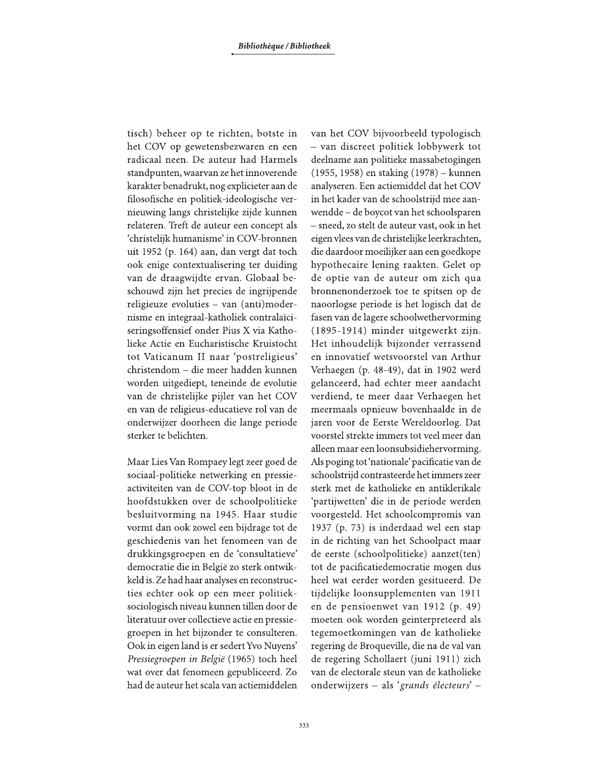tisch) beheer op te richten, botste in het COV op gewetensbezwaren en een radicaal neen. De auteur had Harmels standpunten, waarvan ze het innoverende karakter benadrukt, nog explicieter aan de filosofische en politiek-ideologische vernieuwing langs christelijke zijde kunnen relateren. Treft de auteur een concept als 'christelijk humanisme' in COV-bronnen uit 1952 (p. 164) aan, dan vergt dat toch ook enige contextualisering ter duiding van de draagwijdte ervan. Globaal beschouwd zijn het precies de ingrijpende religieuze evoluties - van (anti)modernisme en integraal-katholiek contralaïciseringsoffensief onder Pius X via Katholieke Actie en Eucharistische Kruistocht tot Vaticanum II naar 'postreligieus' christendom - die meer hadden kunnen worden uitgediept, teneinde de evolutie van de christelijke pijler van het COV en van de religieus-educatieve rol van de onderwijzer doorheen die lange periode sterker te belichten.

Maar Lies Van Rompaey legt zeer goed de sociaal-politieke netwerking en pressieactiviteiten van de COV-top bloot in de hoofdstukken over de schoolpolitieke besluitvorming na 1945. Haar studie vormt dan ook zowel een bijdrage tot de geschiedenis van het fenomeen van de drukkingsgroepen en de 'consultatieve' democratie die in België zo sterk ontwikkeld is. Ze had haar analyses en reconstructies echter ook op een meer politieksociologisch niveau kunnen tillen door de literatuur over collectieve actie en pressiegroepen in het bijzonder te consulteren. Ook in eigen land is er sedert Yvo Nuyens' Pressiegroepen in België (1965) toch heel wat over dat fenomeen gepubliceerd. Zo had de auteur het scala van actiemiddelen

van het COV bijvoorbeeld typologisch - van discreet politiek lobbywerk tot deelname aan politieke massabetogingen (1955, 1958) en staking (1978) – kunnen analyseren. Een actiemiddel dat het COV in het kader van de schoolstrijd mee aanwendde - de boycot van het schoolsparen - sneed, zo stelt de auteur vast, ook in het eigen vlees van de christelijke leerkrachten, die daardoor moeilijker aan een goedkope hypothecaire lening raakten. Gelet op de optie van de auteur om zich qua bronnenonderzoek toe te spitsen op de naoorlogse periode is het logisch dat de fasen van de lagere schoolwethervorming (1895-1914) minder uitgewerkt zijn. Het inhoudelijk bijzonder verrassend en innovatief wetsvoorstel van Arthur Verhaegen (p. 48-49), dat in 1902 werd gelanceerd, had echter meer aandacht verdiend, te meer daar Verhaegen het meermaals opnieuw bovenhaalde in de jaren voor de Eerste Wereldoorlog. Dat voorstel strekte immers tot veel meer dan alleen maar een loonsubsidiehervorming. Als poging tot 'nationale' pacificatie van de schoolstrijd contrasteerde het immers zeer sterk met de katholieke en antiklerikale 'partijwetten' die in de periode werden voorgesteld. Het schoolcompromis van 1937 (p. 73) is inderdaad wel een stap in de richting van het Schoolpact maar de eerste (schoolpolitieke) aanzet(ten) tot de pacificatiedemocratie mogen dus heel wat eerder worden gesitueerd. De tijdelijke loonsupplementen van 1911 en de pensioenwet van 1912 (p. 49) moeten ook worden geinterpreteerd als tegemoetkomingen van de katholieke regering de Broqueville, die na de val van de regering Schollaert (juni 1911) zich van de electorale steun van de katholieke onderwijzers - als 'grands électeurs' -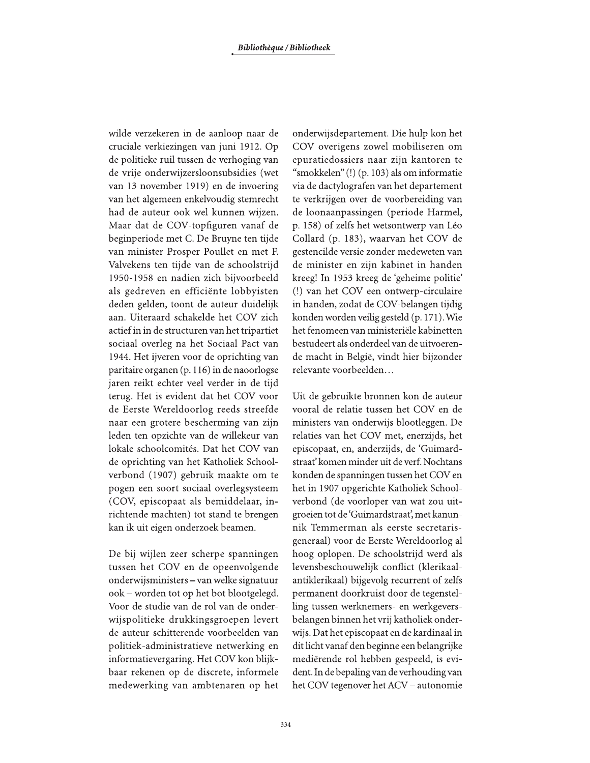wilde verzekeren in de aanloop naar de cruciale verkiezingen van juni 1912. Op de politieke ruil tussen de verhoging van de vrije onderwijzersloonsubsidies (wet van 13 november 1919) en de invoering van het algemeen enkelvoudig stemrecht had de auteur ook wel kunnen wijzen. Maar dat de COV-topfiguren vanaf de beginperiode met C. De Bruyne ten tijde van minister Prosper Poullet en met F. Valvekens ten tijde van de schoolstrijd 1950-1958 en nadien zich bijvoorbeeld als gedreven en efficiënte lobbyisten deden gelden, toont de auteur duidelijk aan. Uiteraard schakelde het COV zich actief in in de structuren van het tripartiet sociaal overleg na het Sociaal Pact van 1944. Het ijveren voor de oprichting van paritaire organen (p. 116) in de naoorlogse jaren reikt echter veel verder in de tijd terug. Het is evident dat het COV voor de Eerste Wereldoorlog reeds streefde naar een grotere bescherming van zijn leden ten opzichte van de willekeur van lokale schoolcomités. Dat het COV van de oprichting van het Katholiek Schoolverbond (1907) gebruik maakte om te pogen een soort sociaal overlegsysteem (COV, episcopaat als bemiddelaar, inrichtende machten) tot stand te brengen kan ik uit eigen onderzoek beamen.

De bij wijlen zeer scherpe spanningen tussen het COV en de opeenvolgende onderwijsministers – van welke signatuur ook - worden tot op het bot blootgelegd. Voor de studie van de rol van de onderwijspolitieke drukkingsgroepen levert de auteur schitterende voorbeelden van politiek-administratieve netwerking en informatievergaring. Het COV kon blijkbaar rekenen op de discrete, informele medewerking van ambtenaren op het onderwijsdepartement. Die hulp kon het COV overigens zowel mobiliseren om epuratiedossiers naar zijn kantoren te "smokkelen" (!) (p. 103) als om informatie via de dactylografen van het departement te verkrijgen over de voorbereiding van de loonaanpassingen (periode Harmel, p. 158) of zelfs het wetsontwerp van Léo Collard (p. 183), waarvan het COV de gestencilde versie zonder medeweten van de minister en zijn kabinet in handen kreeg! In 1953 kreeg de 'geheime politie' (!) van het COV een ontwerp-circulaire in handen, zodat de COV-belangen tijdig konden worden veilig gesteld (p. 171). Wie het fenomeen van ministeriële kabinetten bestudeert als onderdeel van de uitvoerende macht in België, vindt hier bijzonder relevante voorbeelden...

Uit de gebruikte bronnen kon de auteur vooral de relatie tussen het COV en de ministers van onderwijs blootleggen. De relaties van het COV met, enerzijds, het episcopaat, en, anderzijds, de 'Guimardstraat' komen minder uit de verf. Nochtans konden de spanningen tussen het COV en het in 1907 opgerichte Katholiek Schoolverbond (de voorloper van wat zou uitgroeien tot de 'Guimardstraat', met kanunnik Temmerman als eerste secretarisgeneraal) voor de Eerste Wereldoorlog al hoog oplopen. De schoolstrijd werd als levensbeschouwelijk conflict (klerikaalantiklerikaal) bijgevolg recurrent of zelfs permanent doorkruist door de tegenstelling tussen werknemers- en werkgeversbelangen binnen het vrij katholiek onderwijs. Dat het episcopaat en de kardinaal in dit licht vanaf den beginne een belangrijke mediërende rol hebben gespeeld, is evident. In de bepaling van de verhouding van het COV tegenover het ACV – autonomie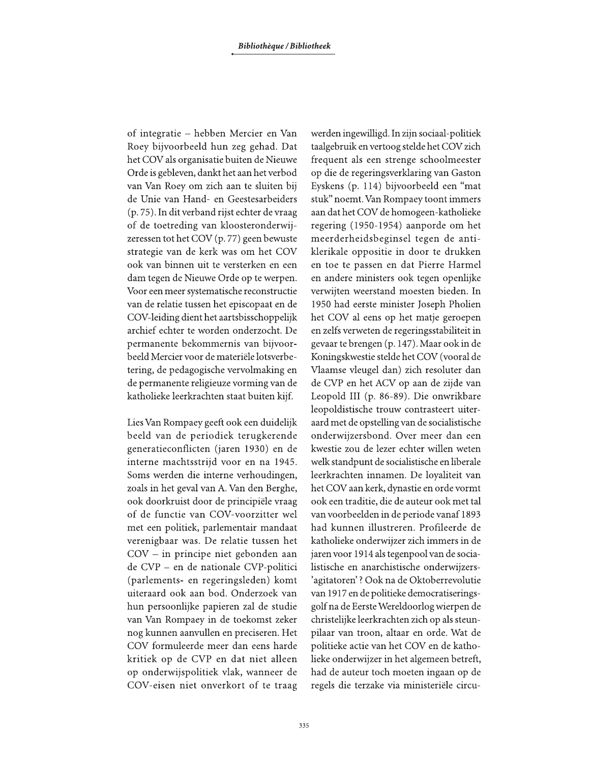of integratie – hebben Mercier en Van Roey bijvoorbeeld hun zeg gehad. Dat het COV als organisatie buiten de Nieuwe Orde is gebleven, dankt het aan het verbod van Van Roey om zich aan te sluiten bij de Unie van Hand- en Geestesarbeiders (p. 75). In dit verband rijst echter de vraag of de toetreding van kloosteronderwijzeressen tot het COV (p. 77) geen bewuste strategie van de kerk was om het COV ook van binnen uit te versterken en een dam tegen de Nieuwe Orde op te werpen. Voor een meer systematische reconstructie van de relatie tussen het episcopaat en de COV-leiding dient het aartsbisschoppelijk archief echter te worden onderzocht. De permanente bekommernis van bijvoorbeeld Mercier voor de materiële lotsverbetering, de pedagogische vervolmaking en de permanente religieuze vorming van de katholieke leerkrachten staat buiten kijf.

Lies Van Rompaey geeft ook een duidelijk beeld van de periodiek terugkerende generatieconflicten (jaren 1930) en de interne machtsstrijd voor en na 1945. Soms werden die interne verhoudingen, zoals in het geval van A. Van den Berghe, ook doorkruist door de principiële vraag of de functie van COV-voorzitter wel met een politiek, parlementair mandaat verenigbaar was. De relatie tussen het  $COV - in$  principe niet gebonden aan de CVP - en de nationale CVP-politici (parlements- en regeringsleden) komt uiteraard ook aan bod. Onderzoek van hun persoonlijke papieren zal de studie van Van Rompaey in de toekomst zeker nog kunnen aanvullen en preciseren. Het COV formuleerde meer dan eens harde kritiek op de CVP en dat niet alleen op onderwijspolitiek vlak, wanneer de COV-eisen niet onverkort of te traag werden ingewilligd. In zijn sociaal-politiek taalgebruik en vertoog stelde het COV zich frequent als een strenge schoolmeester op die de regeringsverklaring van Gaston Eyskens (p. 114) bijvoorbeeld een "mat stuk" noemt. Van Rompaey toont immers aan dat het COV de homogeen-katholieke regering (1950-1954) aanporde om het meerderheidsbeginsel tegen de antiklerikale oppositie in door te drukken en toe te passen en dat Pierre Harmel en andere ministers ook tegen openlijke verwijten weerstand moesten bieden. In 1950 had eerste minister Joseph Pholien het COV al eens op het matje geroepen en zelfs verweten de regeringsstabiliteit in gevaar te brengen (p. 147). Maar ook in de Koningskwestie stelde het COV (vooral de Vlaamse vleugel dan) zich resoluter dan de CVP en het ACV op aan de zijde van Leopold III (p. 86-89). Die onwrikbare leopoldistische trouw contrasteert uiteraard met de opstelling van de socialistische onderwijzersbond. Over meer dan een kwestie zou de lezer echter willen weten welk standpunt de socialistische en liberale leerkrachten innamen. De loyaliteit van het COV aan kerk, dynastie en orde vormt ook een traditie, die de auteur ook met tal van voorbeelden in de periode vanaf 1893 had kunnen illustreren. Profileerde de katholieke onderwijzer zich immers in de jaren voor 1914 als tegenpool van de socialistische en anarchistische onderwijzers-'agitatoren'? Ook na de Oktoberrevolutie van 1917 en de politieke democratiseringsgolf na de Eerste Wereldoorlog wierpen de christelijke leerkrachten zich op als steunpilaar van troon, altaar en orde. Wat de politieke actie van het COV en de katholieke onderwijzer in het algemeen betreft, had de auteur toch moeten ingaan op de regels die terzake via ministeriële circu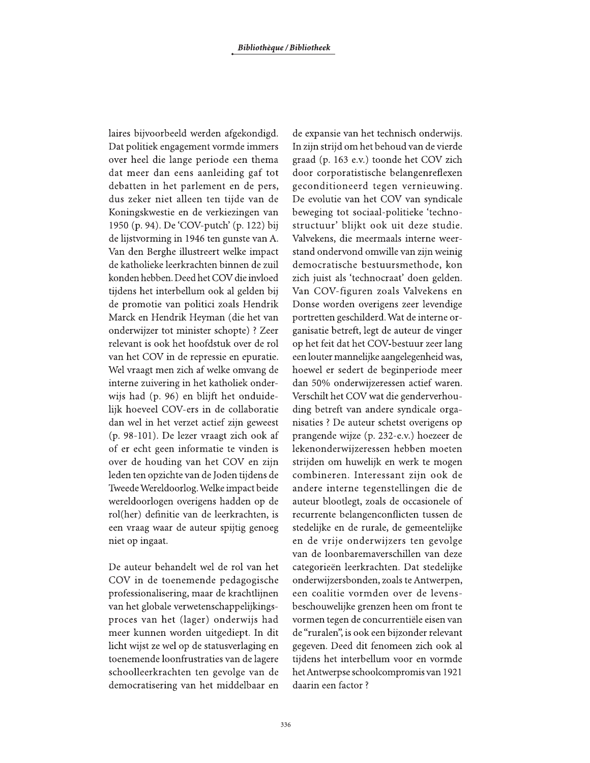laires bijvoorbeeld werden afgekondigd. Dat politiek engagement vormde immers over heel die lange periode een thema dat meer dan eens aanleiding gaf tot debatten in het parlement en de pers, dus zeker niet alleen ten tijde van de Koningskwestie en de verkiezingen van 1950 (p. 94). De 'COV-putch' (p. 122) bij de lijstvorming in 1946 ten gunste van A. Van den Berghe illustreert welke impact de katholieke leerkrachten binnen de zuil konden hebben. Deed het COV die invloed tijdens het interbellum ook al gelden bij de promotie van politici zoals Hendrik Marck en Hendrik Heyman (die het van onderwijzer tot minister schopte) ? Zeer relevant is ook het hoofdstuk over de rol van het COV in de repressie en epuratie. Wel vraagt men zich af welke omvang de interne zuivering in het katholiek onderwijs had (p. 96) en blijft het onduidelijk hoeveel COV-ers in de collaboratie dan wel in het verzet actief zijn geweest (p. 98-101). De lezer vraagt zich ook af of er echt geen informatie te vinden is over de houding van het COV en zijn leden ten opzichte van de Joden tijdens de Tweede Wereldoorlog. Welke impact beide wereldoorlogen overigens hadden op de rol(her) definitie van de leerkrachten, is een vraag waar de auteur spijtig genoeg niet op ingaat.

De auteur behandelt wel de rol van het COV in de toenemende pedagogische professionalisering, maar de krachtlijnen van het globale verwetenschappelijkingsproces van het (lager) onderwijs had meer kunnen worden uitgediept. In dit licht wijst ze wel op de statusverlaging en toenemende loonfrustraties van de lagere schoolleerkrachten ten gevolge van de democratisering van het middelbaar en

de expansie van het technisch onderwijs. In zijn strijd om het behoud van de vierde graad (p. 163 e.v.) toonde het COV zich door corporatistische belangenreflexen geconditioneerd tegen vernieuwing. De evolutie van het COV van syndicale beweging tot sociaal-politieke 'technostructuur' blijkt ook uit deze studie. Valvekens, die meermaals interne weerstand ondervond omwille van zijn weinig democratische bestuursmethode, kon zich juist als 'technocraat' doen gelden. Van COV-figuren zoals Valvekens en Donse worden overigens zeer levendige portretten geschilderd. Wat de interne organisatie betreft, legt de auteur de vinger op het feit dat het COV-bestuur zeer lang een louter mannelijke aangelegenheid was, hoewel er sedert de beginperiode meer dan 50% onderwijzeressen actief waren. Verschilt het COV wat die genderverhouding betreft van andere syndicale organisaties ? De auteur schetst overigens op prangende wijze (p. 232-e.v.) hoezeer de lekenonderwijzeressen hebben moeten strijden om huwelijk en werk te mogen combineren. Interessant zijn ook de andere interne tegenstellingen die de auteur blootlegt, zoals de occasionele of recurrente belangenconflicten tussen de stedelijke en de rurale, de gemeentelijke en de vrije onderwijzers ten gevolge van de loonbaremaverschillen van deze categorieën leerkrachten. Dat stedelijke onderwijzersbonden, zoals te Antwerpen, een coalitie vormden over de levensbeschouwelijke grenzen heen om front te vormen tegen de concurrentiële eisen van de "ruralen", is ook een bijzonder relevant gegeven. Deed dit fenomeen zich ook al tijdens het interbellum voor en vormde het Antwerpse schoolcompromis van 1921 daarin een factor?